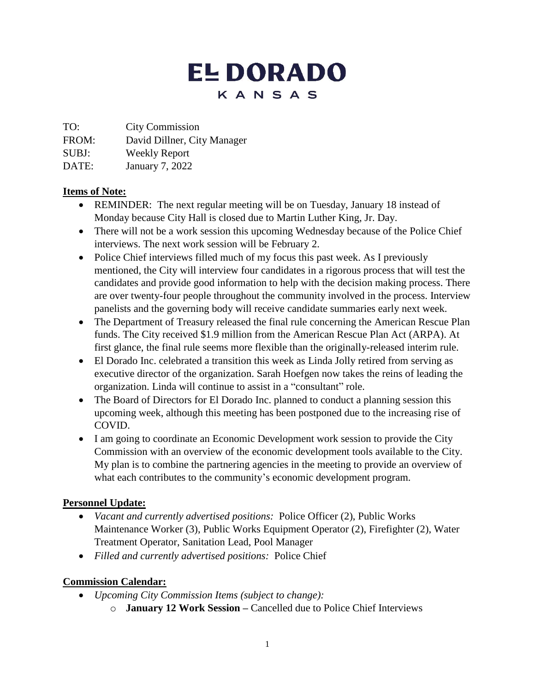# **EL DORADO** KANSAS

TO: City Commission

FROM: David Dillner, City Manager

SUBJ: Weekly Report

DATE: January 7, 2022

### **Items of Note:**

- REMINDER: The next regular meeting will be on Tuesday, January 18 instead of Monday because City Hall is closed due to Martin Luther King, Jr. Day.
- There will not be a work session this upcoming Wednesday because of the Police Chief interviews. The next work session will be February 2.
- Police Chief interviews filled much of my focus this past week. As I previously mentioned, the City will interview four candidates in a rigorous process that will test the candidates and provide good information to help with the decision making process. There are over twenty-four people throughout the community involved in the process. Interview panelists and the governing body will receive candidate summaries early next week.
- The Department of Treasury released the final rule concerning the American Rescue Plan funds. The City received \$1.9 million from the American Rescue Plan Act (ARPA). At first glance, the final rule seems more flexible than the originally-released interim rule.
- El Dorado Inc. celebrated a transition this week as Linda Jolly retired from serving as executive director of the organization. Sarah Hoefgen now takes the reins of leading the organization. Linda will continue to assist in a "consultant" role.
- The Board of Directors for El Dorado Inc. planned to conduct a planning session this upcoming week, although this meeting has been postponed due to the increasing rise of COVID.
- I am going to coordinate an Economic Development work session to provide the City Commission with an overview of the economic development tools available to the City. My plan is to combine the partnering agencies in the meeting to provide an overview of what each contributes to the community's economic development program.

# **Personnel Update:**

- *Vacant and currently advertised positions:* Police Officer (2), Public Works Maintenance Worker (3), Public Works Equipment Operator (2), Firefighter (2), Water Treatment Operator, Sanitation Lead, Pool Manager
- *Filled and currently advertised positions:* Police Chief

# **Commission Calendar:**

- *Upcoming City Commission Items (subject to change):*
	- o **January 12 Work Session –** Cancelled due to Police Chief Interviews